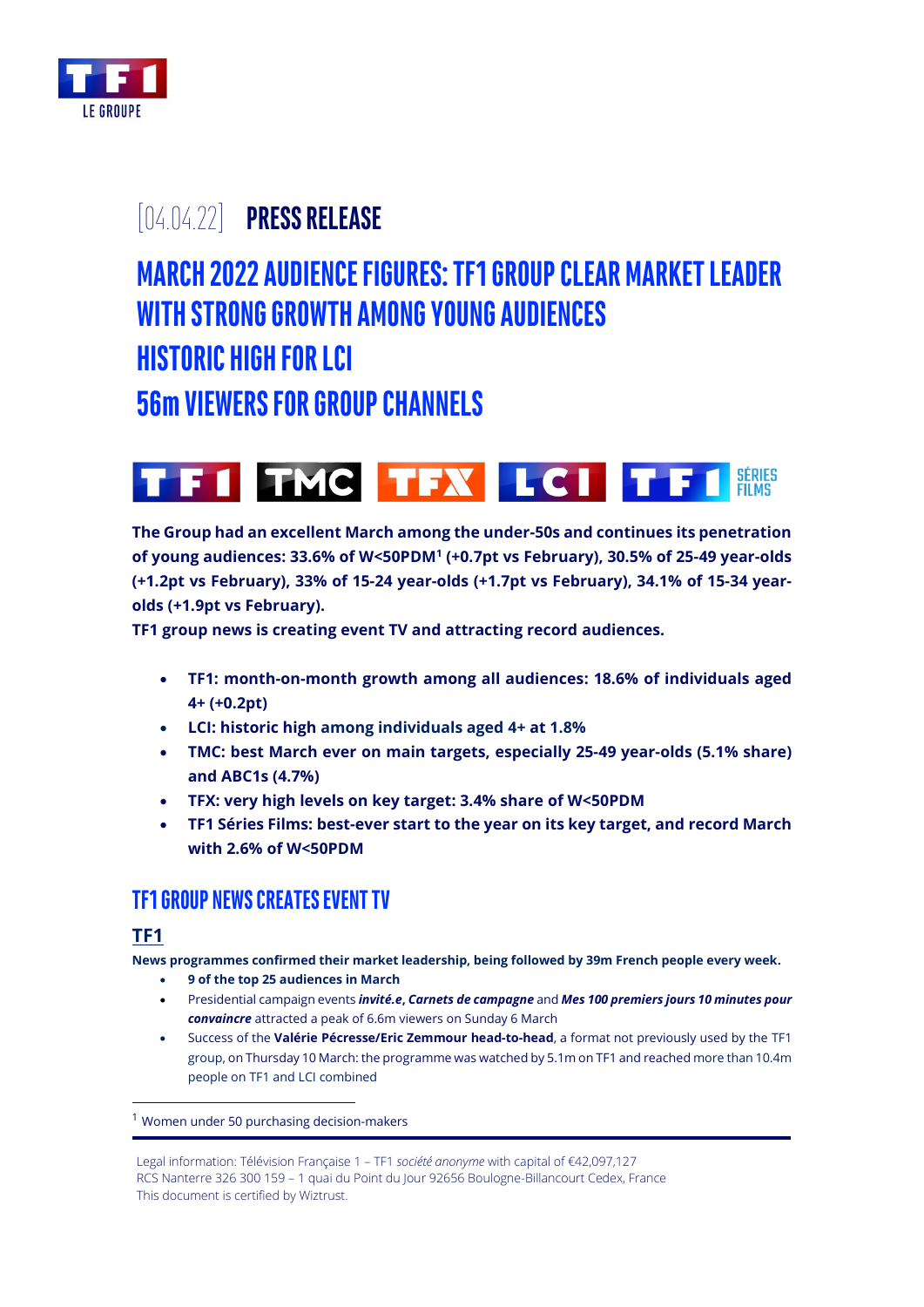

# [04.04.22] **PRESS RELEASE**

# **MARCH 2022 AUDIENCEFIGURES:TF1 GROUP CLEAR MARKET LEADER WITHSTRONG GROWTH AMONG YOUNG AUDIENCES**

# **HISTORIC HIGH FORLCI**

**56m VIEWERS FOR GROUP CHANNELS**



**The Group had an excellent March among the under-50s and continues its penetration of young audiences: 33.6% of W<50PDM<sup>1</sup> (+0.7pt vs February), 30.5% of 25-49 year-olds (+1.2pt vs February), 33% of 15-24 year-olds (+1.7pt vs February), 34.1% of 15-34 yearolds (+1.9pt vs February).**

**TF1 group news is creating event TV and attracting record audiences.**

- **TF1: month-on-month growth among all audiences: 18.6% of individuals aged 4+ (+0.2pt)**
- **LCI: historic high among individuals aged 4+ at 1.8%**
- **TMC: best March ever on main targets, especially 25-49 year-olds (5.1% share) and ABC1s (4.7%)**
- **TFX: very high levels on key target: 3.4% share of W<50PDM**
- **TF1 Séries Films: best-ever start to the year on its key target, and record March with 2.6% of W<50PDM**

## **TF1 GROUP NEWS CREATES EVENT TV**

## **TF1**

**News programmes confirmed their market leadership, being followed by 39m French people every week.**

- **9 of the top 25 audiences in March**
- Presidential campaign events *invité.e***,** *Carnets de campagne* and *Mes 100 premiers jours 10 minutes pour convaincre* attracted a peak of 6.6m viewers on Sunday 6 March
- Success of the **Valérie Pécresse/Eric Zemmour head-to-head**, a format not previously used by the TF1 group, on Thursday 10 March: the programme was watched by 5.1m on TF1 and reached more than 10.4m people on TF1 and LCI combined

<sup>&</sup>lt;sup>1</sup> Women under 50 purchasing decision-makers

Legal information: Télévision Française 1 – TF1 *société anonyme* with capital of €42,097,127 RCS Nanterre 326 300 159 – 1 quai du Point du Jour 92656 Boulogne-Billancourt Cedex, France This document is certified by Wiztrust.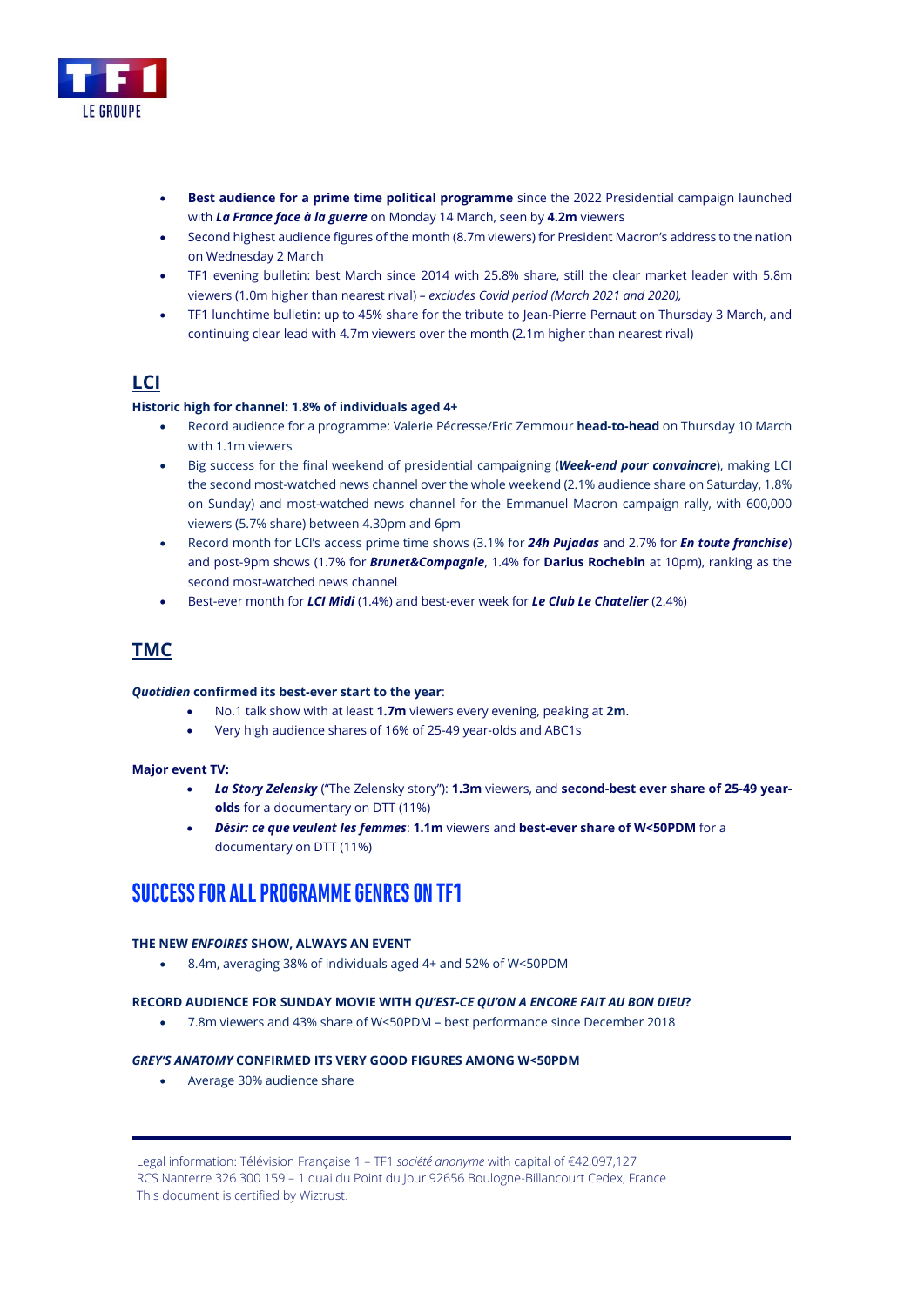

- **Best audience for a prime time political programme** since the 2022 Presidential campaign launched with *La France face à la guerre* on Monday 14 March, seen by **4.2m** viewers
- Second highest audience figures of the month (8.7m viewers) for President Macron's address to the nation on Wednesday 2 March
- TF1 evening bulletin: best March since 2014 with 25.8% share, still the clear market leader with 5.8m viewers (1.0m higher than nearest rival) *– excludes Covid period (March 2021 and 2020),*
- TF1 lunchtime bulletin: up to 45% share for the tribute to Jean-Pierre Pernaut on Thursday 3 March, and continuing clear lead with 4.7m viewers over the month (2.1m higher than nearest rival)

### **LCI**

### **Historic high for channel: 1.8% of individuals aged 4+**

- Record audience for a programme: Valerie Pécresse/Eric Zemmour **head-to-head** on Thursday 10 March with 1.1m viewers
- Big success for the final weekend of presidential campaigning (*Week-end pour convaincre*), making LCI the second most-watched news channel over the whole weekend (2.1% audience share on Saturday, 1.8% on Sunday) and most-watched news channel for the Emmanuel Macron campaign rally, with 600,000 viewers (5.7% share) between 4.30pm and 6pm
- Record month for LCI's access prime time shows (3.1% for *24h Pujadas* and 2.7% for *En toute franchise*) and post-9pm shows (1.7% for *Brunet&Compagnie*, 1.4% for **Darius Rochebin** at 10pm), ranking as the second most-watched news channel
- Best-ever month for *LCI Midi* (1.4%) and best-ever week for *Le Club Le Chatelier* (2.4%)

### **TMC**

### *Quotidien* **confirmed its best-ever start to the year**:

- No.1 talk show with at least **1.7m** viewers every evening, peaking at **2m**.
- Very high audience shares of 16% of 25-49 year-olds and ABC1s

### **Major event TV:**

- *La Story Zelensky* ("The Zelensky story"): **1.3m** viewers, and **second-best ever share of 25-49 yearolds** for a documentary on DTT (11%)
- *Désir: ce que veulent les femmes*: **1.1m** viewers and **best-ever share of W<50PDM** for a documentary on DTT (11%)

## **SUCCESS FOR ALLPROGRAMMEGENRES ONTF1**

### **THE NEW** *ENFOIRES* **SHOW, ALWAYS AN EVENT**

• 8.4m, averaging 38% of individuals aged 4+ and 52% of W<50PDM

### **RECORD AUDIENCE FOR SUNDAY MOVIE WITH** *QU'EST-CE QU'ON A ENCORE FAIT AU BON DIEU***?**

• 7.8m viewers and 43% share of W<50PDM – best performance since December 2018

### *GREY'S ANATOMY* **CONFIRMED ITS VERY GOOD FIGURES AMONG W<50PDM**

• Average 30% audience share